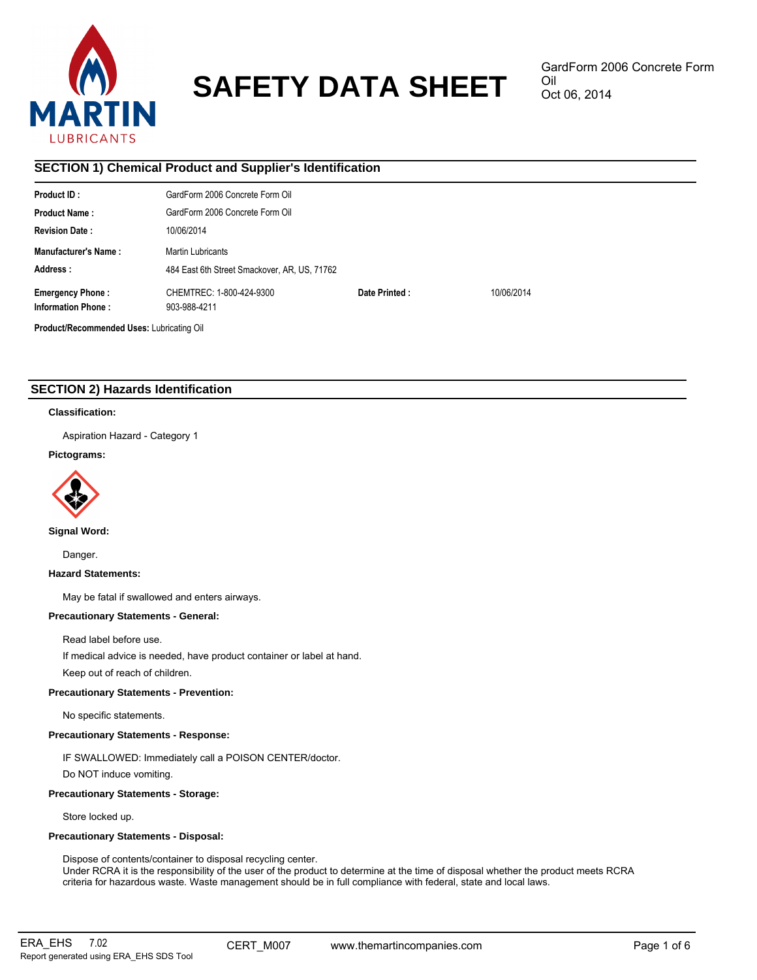

# **SAFETY DATA SHEET**

# **SECTION 1) Chemical Product and Supplier's Identification**

| Product ID:                               | GardForm 2006 Concrete Form Oil              |               |            |
|-------------------------------------------|----------------------------------------------|---------------|------------|
| <b>Product Name:</b>                      | GardForm 2006 Concrete Form Oil              |               |            |
| <b>Revision Date:</b>                     | 10/06/2014                                   |               |            |
| Manufacturer's Name:                      | Martin Lubricants                            |               |            |
| Address:                                  | 484 East 6th Street Smackover, AR, US, 71762 |               |            |
| <b>Emergency Phone:</b>                   | CHEMTREC: 1-800-424-9300                     | Date Printed: | 10/06/2014 |
| <b>Information Phone:</b>                 | 903-988-4211                                 |               |            |
| Product/Recommended Uses: Lubricating Oil |                                              |               |            |

# **SECTION 2) Hazards Identification**

### **Classification:**

Aspiration Hazard - Category 1

# **Pictograms:**



**Signal Word:**

Danger.

### **Hazard Statements:**

May be fatal if swallowed and enters airways.

# **Precautionary Statements - General:**

Read label before use.

If medical advice is needed, have product container or label at hand.

Keep out of reach of children.

# **Precautionary Statements - Prevention:**

No specific statements.

# **Precautionary Statements - Response:**

IF SWALLOWED: Immediately call a POISON CENTER/doctor.

Do NOT induce vomiting.

### **Precautionary Statements - Storage:**

Store locked up.

# **Precautionary Statements - Disposal:**

Dispose of contents/container to disposal recycling center.

Under RCRA it is the responsibility of the user of the product to determine at the time of disposal whether the product meets RCRA criteria for hazardous waste. Waste management should be in full compliance with federal, state and local laws.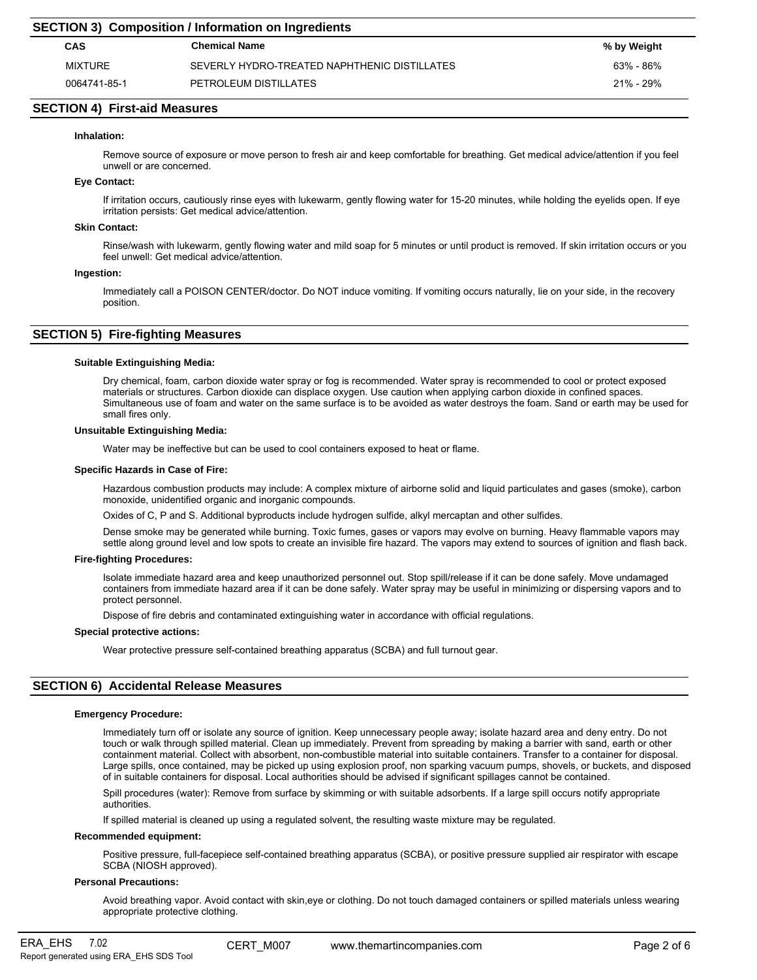| <b>SECTION 3) Composition / Information on Ingredients</b> |                                              |             |  |
|------------------------------------------------------------|----------------------------------------------|-------------|--|
| CAS                                                        | <b>Chemical Name</b>                         | % by Weight |  |
| MIXTURE                                                    | SEVERLY HYDRO-TREATED NAPHTHENIC DISTILLATES | 63% - 86%   |  |
| 0064741-85-1                                               | PETROLEUM DISTILLATES                        | 21% - 29%   |  |

# **SECTION 4) First-aid Measures**

### **Inhalation:**

Remove source of exposure or move person to fresh air and keep comfortable for breathing. Get medical advice/attention if you feel unwell or are concerned.

### **Eye Contact:**

If irritation occurs, cautiously rinse eyes with lukewarm, gently flowing water for 15-20 minutes, while holding the eyelids open. If eye irritation persists: Get medical advice/attention.

#### **Skin Contact:**

Rinse/wash with lukewarm, gently flowing water and mild soap for 5 minutes or until product is removed. If skin irritation occurs or you feel unwell: Get medical advice/attention.

#### **Ingestion:**

Immediately call a POISON CENTER/doctor. Do NOT induce vomiting. If vomiting occurs naturally, lie on your side, in the recovery position.

# **SECTION 5) Fire-fighting Measures**

### **Suitable Extinguishing Media:**

Dry chemical, foam, carbon dioxide water spray or fog is recommended. Water spray is recommended to cool or protect exposed materials or structures. Carbon dioxide can displace oxygen. Use caution when applying carbon dioxide in confined spaces. Simultaneous use of foam and water on the same surface is to be avoided as water destroys the foam. Sand or earth may be used for small fires only.

#### **Unsuitable Extinguishing Media:**

Water may be ineffective but can be used to cool containers exposed to heat or flame.

#### **Specific Hazards in Case of Fire:**

Hazardous combustion products may include: A complex mixture of airborne solid and liquid particulates and gases (smoke), carbon monoxide, unidentified organic and inorganic compounds.

Oxides of C, P and S. Additional byproducts include hydrogen sulfide, alkyl mercaptan and other sulfides.

Dense smoke may be generated while burning. Toxic fumes, gases or vapors may evolve on burning. Heavy flammable vapors may settle along ground level and low spots to create an invisible fire hazard. The vapors may extend to sources of ignition and flash back.

### **Fire-fighting Procedures:**

Isolate immediate hazard area and keep unauthorized personnel out. Stop spill/release if it can be done safely. Move undamaged containers from immediate hazard area if it can be done safely. Water spray may be useful in minimizing or dispersing vapors and to protect personnel.

Dispose of fire debris and contaminated extinguishing water in accordance with official regulations.

### **Special protective actions:**

Wear protective pressure self-contained breathing apparatus (SCBA) and full turnout gear.

# **SECTION 6) Accidental Release Measures**

#### **Emergency Procedure:**

Immediately turn off or isolate any source of ignition. Keep unnecessary people away; isolate hazard area and deny entry. Do not touch or walk through spilled material. Clean up immediately. Prevent from spreading by making a barrier with sand, earth or other containment material. Collect with absorbent, non-combustible material into suitable containers. Transfer to a container for disposal. Large spills, once contained, may be picked up using explosion proof, non sparking vacuum pumps, shovels, or buckets, and disposed of in suitable containers for disposal. Local authorities should be advised if significant spillages cannot be contained.

Spill procedures (water): Remove from surface by skimming or with suitable adsorbents. If a large spill occurs notify appropriate authorities.

If spilled material is cleaned up using a regulated solvent, the resulting waste mixture may be regulated.

#### **Recommended equipment:**

Positive pressure, full-facepiece self-contained breathing apparatus (SCBA), or positive pressure supplied air respirator with escape SCBA (NIOSH approved).

### **Personal Precautions:**

Avoid breathing vapor. Avoid contact with skin,eye or clothing. Do not touch damaged containers or spilled materials unless wearing appropriate protective clothing.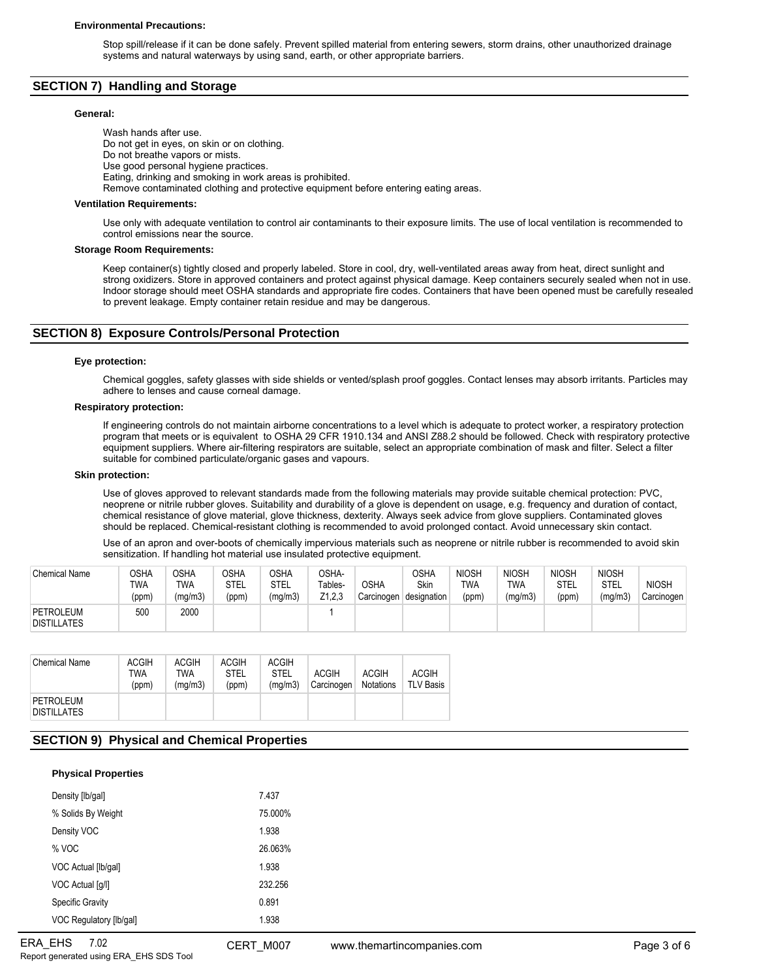Stop spill/release if it can be done safely. Prevent spilled material from entering sewers, storm drains, other unauthorized drainage systems and natural waterways by using sand, earth, or other appropriate barriers.

# **SECTION 7) Handling and Storage**

# **General:**

Wash hands after use. Do not get in eyes, on skin or on clothing. Do not breathe vapors or mists. Use good personal hygiene practices. Eating, drinking and smoking in work areas is prohibited. Remove contaminated clothing and protective equipment before entering eating areas.

### **Ventilation Requirements:**

Use only with adequate ventilation to control air contaminants to their exposure limits. The use of local ventilation is recommended to control emissions near the source.

### **Storage Room Requirements:**

Keep container(s) tightly closed and properly labeled. Store in cool, dry, well-ventilated areas away from heat, direct sunlight and strong oxidizers. Store in approved containers and protect against physical damage. Keep containers securely sealed when not in use. Indoor storage should meet OSHA standards and appropriate fire codes. Containers that have been opened must be carefully resealed to prevent leakage. Empty container retain residue and may be dangerous.

# **SECTION 8) Exposure Controls/Personal Protection**

### **Eye protection:**

Chemical goggles, safety glasses with side shields or vented/splash proof goggles. Contact lenses may absorb irritants. Particles may adhere to lenses and cause corneal damage.

# **Respiratory protection:**

If engineering controls do not maintain airborne concentrations to a level which is adequate to protect worker, a respiratory protection program that meets or is equivalent to OSHA 29 CFR 1910.134 and ANSI Z88.2 should be followed. Check with respiratory protective equipment suppliers. Where air-filtering respirators are suitable, select an appropriate combination of mask and filter. Select a filter suitable for combined particulate/organic gases and vapours.

### **Skin protection:**

Use of gloves approved to relevant standards made from the following materials may provide suitable chemical protection: PVC, neoprene or nitrile rubber gloves. Suitability and durability of a glove is dependent on usage, e.g. frequency and duration of contact, chemical resistance of glove material, glove thickness, dexterity. Always seek advice from glove suppliers. Contaminated gloves should be replaced. Chemical-resistant clothing is recommended to avoid prolonged contact. Avoid unnecessary skin contact.

Use of an apron and over-boots of chemically impervious materials such as neoprene or nitrile rubber is recommended to avoid skin sensitization. If handling hot material use insulated protective equipment.

| <b>Chemical Name</b>            | OSHA<br><b>TWA</b><br>(ppm) | <b>OSHA</b><br>TWA<br>(mg/m3) | <b>OSHA</b><br>STEL<br>(ppm) | つSHA<br>STEL<br>(mg/m3) | OSHA-<br>Tables-<br>Z1,2,3 | <b>OSHA</b><br>Carcinogen | OSHA<br>Skin<br>designation | <b>NIOSH</b><br><b>TWA</b><br>(ppm) | <b>NIOSH</b><br>TWA<br>(mg/m3) | <b>NIOSH</b><br>STEL<br>(ppm) | <b>NIOSH</b><br>STEL<br>(mg/m3) | <b>NIOSH</b><br>Carcinogen |
|---------------------------------|-----------------------------|-------------------------------|------------------------------|-------------------------|----------------------------|---------------------------|-----------------------------|-------------------------------------|--------------------------------|-------------------------------|---------------------------------|----------------------------|
| PETROLEUM<br><b>DISTILLATES</b> | 500                         | 2000                          |                              |                         |                            |                           |                             |                                     |                                |                               |                                 |                            |

| <b>Chemical Name</b>            | <b>ACGIH</b><br>TWA<br>(ppm) | <b>ACGIH</b><br>TWA<br>(mg/m3) | <b>ACGIH</b><br><b>STEL</b><br>(ppm) | <b>ACGIH</b><br><b>STEL</b><br>(ma/m3) | <b>ACGIH</b><br>Carcinogen | <b>ACGIH</b><br><b>Notations</b> | <b>ACGIH</b><br><b>TLV Basis</b> |
|---------------------------------|------------------------------|--------------------------------|--------------------------------------|----------------------------------------|----------------------------|----------------------------------|----------------------------------|
| PETROLEUM<br><b>DISTILLATES</b> |                              |                                |                                      |                                        |                            |                                  |                                  |

# **SECTION 9) Physical and Chemical Properties**

# **Physical Properties**

| Density [lb/gal]        | 7.437   |
|-------------------------|---------|
| % Solids By Weight      | 75.000% |
| Density VOC             | 1.938   |
| % VOC                   | 26.063% |
| VOC Actual [lb/gal]     | 1.938   |
| VOC Actual [q/l]        | 232 256 |
| <b>Specific Gravity</b> | 0.891   |
| VOC Regulatory [lb/gal] | 1.938   |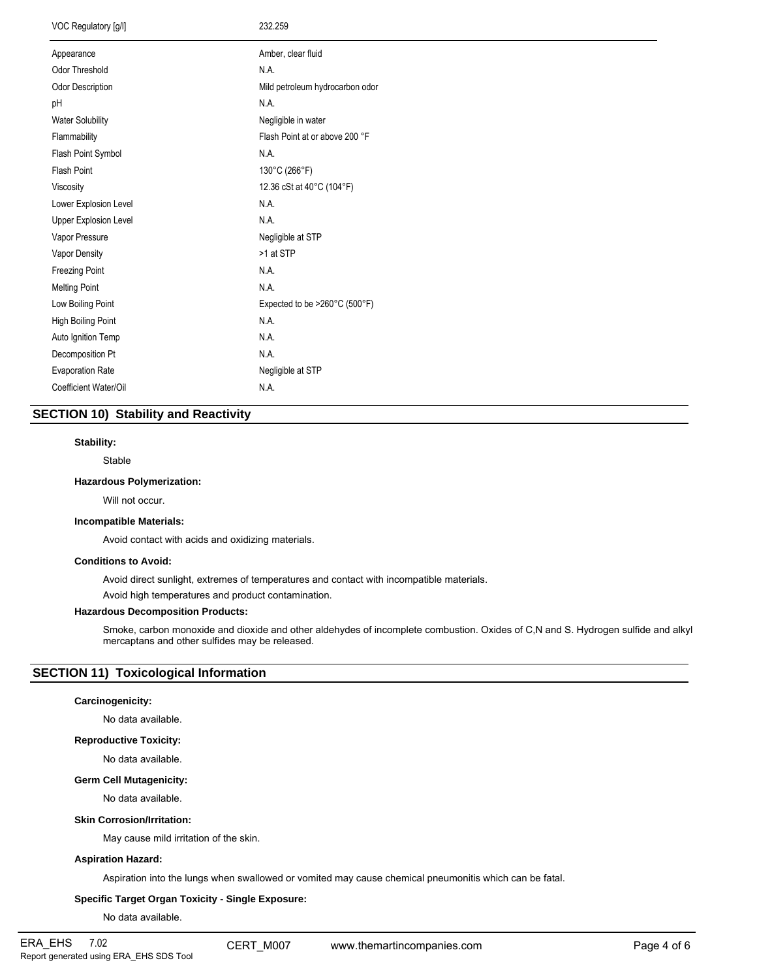| VOC Regulatory [g/l]    | 232.259                         |  |  |  |
|-------------------------|---------------------------------|--|--|--|
| Appearance              | Amber, clear fluid              |  |  |  |
| Odor Threshold          | N.A.                            |  |  |  |
| Odor Description        | Mild petroleum hydrocarbon odor |  |  |  |
| pH                      | N.A.                            |  |  |  |
| <b>Water Solubility</b> | Negligible in water             |  |  |  |
| Flammability            | Flash Point at or above 200 °F  |  |  |  |
| Flash Point Symbol      | N.A.                            |  |  |  |
| Flash Point             | 130°C (266°F)                   |  |  |  |
| Viscosity               | 12.36 cSt at 40°C (104°F)       |  |  |  |
| Lower Explosion Level   | N.A.                            |  |  |  |
| Upper Explosion Level   | N.A.                            |  |  |  |
| Vapor Pressure          | Negligible at STP               |  |  |  |
| Vapor Density           | >1 at STP                       |  |  |  |
| Freezing Point          | N.A.                            |  |  |  |
| <b>Melting Point</b>    | N.A.                            |  |  |  |
| Low Boiling Point       | Expected to be >260°C (500°F)   |  |  |  |
| High Boiling Point      | N.A.                            |  |  |  |
| Auto Ignition Temp      | N.A.                            |  |  |  |
| Decomposition Pt        | N.A.                            |  |  |  |
| <b>Evaporation Rate</b> | Negligible at STP               |  |  |  |
| Coefficient Water/Oil   | N.A.                            |  |  |  |
|                         |                                 |  |  |  |

# **SECTION 10) Stability and Reactivity**

# **Stability:**

Stable

# **Hazardous Polymerization:**

Will not occur.

### **Incompatible Materials:**

Avoid contact with acids and oxidizing materials.

### **Conditions to Avoid:**

Avoid direct sunlight, extremes of temperatures and contact with incompatible materials.

Avoid high temperatures and product contamination.

# **Hazardous Decomposition Products:**

Smoke, carbon monoxide and dioxide and other aldehydes of incomplete combustion. Oxides of C,N and S. Hydrogen sulfide and alkyl mercaptans and other sulfides may be released.

# **SECTION 11) Toxicological Information**

# **Carcinogenicity:**

No data available.

### **Reproductive Toxicity:**

No data available.

#### **Germ Cell Mutagenicity:**

No data available.

### **Skin Corrosion/Irritation:**

May cause mild irritation of the skin.

# **Aspiration Hazard:**

Aspiration into the lungs when swallowed or vomited may cause chemical pneumonitis which can be fatal.

# **Specific Target Organ Toxicity - Single Exposure:**

No data available.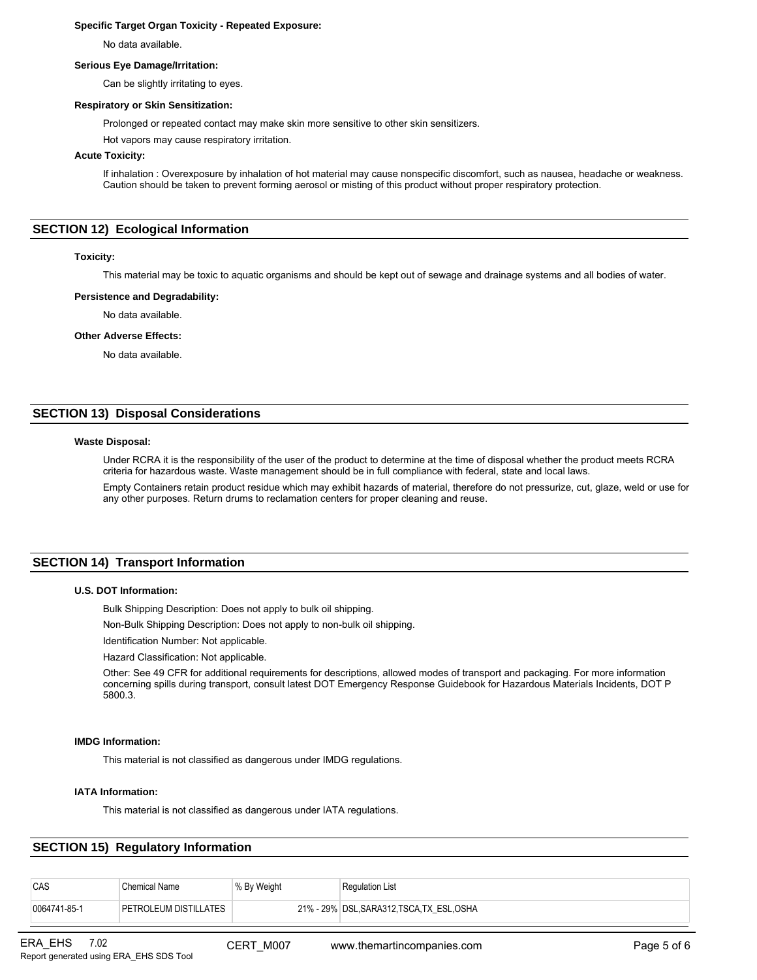# **Specific Target Organ Toxicity - Repeated Exposure:**

No data available.

### **Serious Eye Damage/Irritation:**

Can be slightly irritating to eyes.

# **Respiratory or Skin Sensitization:**

Prolonged or repeated contact may make skin more sensitive to other skin sensitizers.

Hot vapors may cause respiratory irritation.

# **Acute Toxicity:**

If inhalation : Overexposure by inhalation of hot material may cause nonspecific discomfort, such as nausea, headache or weakness. Caution should be taken to prevent forming aerosol or misting of this product without proper respiratory protection.

# **SECTION 12) Ecological Information**

### **Toxicity:**

This material may be toxic to aquatic organisms and should be kept out of sewage and drainage systems and all bodies of water.

### **Persistence and Degradability:**

No data available.

### **Other Adverse Effects:**

No data available.

# **SECTION 13) Disposal Considerations**

# **Waste Disposal:**

Under RCRA it is the responsibility of the user of the product to determine at the time of disposal whether the product meets RCRA criteria for hazardous waste. Waste management should be in full compliance with federal, state and local laws.

Empty Containers retain product residue which may exhibit hazards of material, therefore do not pressurize, cut, glaze, weld or use for any other purposes. Return drums to reclamation centers for proper cleaning and reuse.

# **SECTION 14) Transport Information**

### **U.S. DOT Information:**

Bulk Shipping Description: Does not apply to bulk oil shipping.

Non-Bulk Shipping Description: Does not apply to non-bulk oil shipping.

Identification Number: Not applicable.

Hazard Classification: Not applicable.

Other: See 49 CFR for additional requirements for descriptions, allowed modes of transport and packaging. For more information concerning spills during transport, consult latest DOT Emergency Response Guidebook for Hazardous Materials Incidents, DOT P 5800.3.

# **IMDG Information:**

This material is not classified as dangerous under IMDG regulations.

### **IATA Information:**

This material is not classified as dangerous under IATA regulations.

# **SECTION 15) Regulatory Information**

| CAS          | Chemical Name         | <sup>↓</sup> % By Weight | <b>Regulation List</b>                     |
|--------------|-----------------------|--------------------------|--------------------------------------------|
| 0064741-85-1 | PETROLEUM DISTILLATES |                          | 21% - 29% DSL, SARA312, TSCA, TX ESL, OSHA |